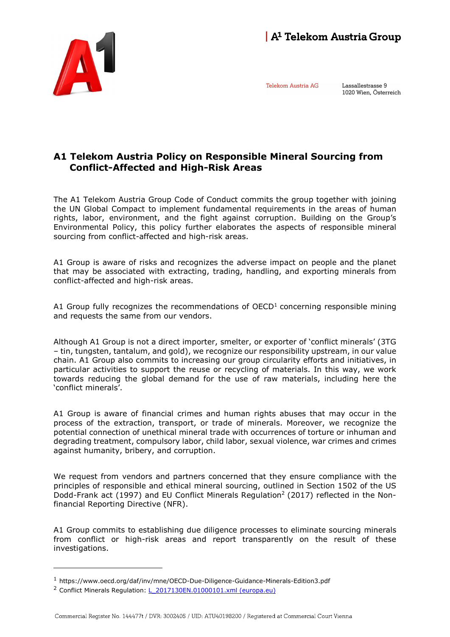

Telekom Austria AG

Lassallestrasse 9 1020 Wien, Österreich

## A1 Telekom Austria Policy on Responsible Mineral Sourcing from Conflict-Affected and High-Risk Areas

The A1 Telekom Austria Group Code of Conduct commits the group together with joining the UN Global Compact to implement fundamental requirements in the areas of human rights, labor, environment, and the fight against corruption. Building on the Group's Environmental Policy, this policy further elaborates the aspects of responsible mineral sourcing from conflict-affected and high-risk areas.

A1 Group is aware of risks and recognizes the adverse impact on people and the planet that may be associated with extracting, trading, handling, and exporting minerals from conflict-affected and high-risk areas.

A1 Group fully recognizes the recommendations of  $OECD<sup>1</sup>$  concerning responsible mining and requests the same from our vendors.

Although A1 Group is not a direct importer, smelter, or exporter of 'conflict minerals' (3TG – tin, tungsten, tantalum, and gold), we recognize our responsibility upstream, in our value chain. A1 Group also commits to increasing our group circularity efforts and initiatives, in particular activities to support the reuse or recycling of materials. In this way, we work towards reducing the global demand for the use of raw materials, including here the 'conflict minerals'.

A1 Group is aware of financial crimes and human rights abuses that may occur in the process of the extraction, transport, or trade of minerals. Moreover, we recognize the potential connection of unethical mineral trade with occurrences of torture or inhuman and degrading treatment, compulsory labor, child labor, sexual violence, war crimes and crimes against humanity, bribery, and corruption.

We request from vendors and partners concerned that they ensure compliance with the principles of responsible and ethical mineral sourcing, outlined in Section 1502 of the US Dodd-Frank act (1997) and EU Conflict Minerals Regulation<sup>2</sup> (2017) reflected in the Nonfinancial Reporting Directive (NFR).

A1 Group commits to establishing due diligence processes to eliminate sourcing minerals from conflict or high-risk areas and report transparently on the result of these investigations.

-

<sup>1</sup> https://www.oecd.org/daf/inv/mne/OECD-Due-Diligence-Guidance-Minerals-Edition3.pdf

<sup>&</sup>lt;sup>2</sup> Conflict Minerals Regulation: L 2017130EN.01000101.xml (europa.eu)